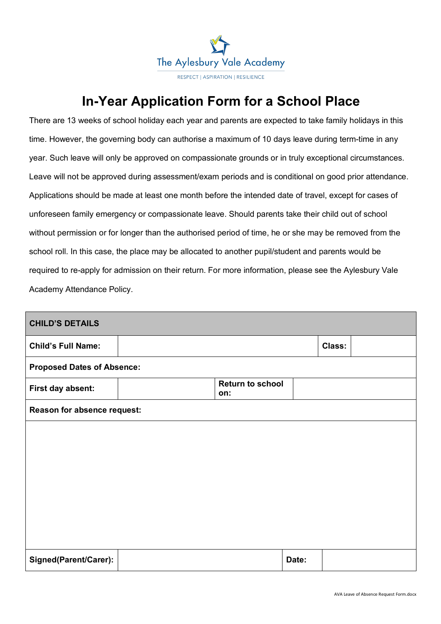

## **In-Year Application Form for a School Place**

There are 13 weeks of school holiday each year and parents are expected to take family holidays in this time. However, the governing body can authorise a maximum of 10 days leave during term-time in any year. Such leave will only be approved on compassionate grounds or in truly exceptional circumstances. Leave will not be approved during assessment/exam periods and is conditional on good prior attendance. Applications should be made at least one month before the intended date of travel, except for cases of unforeseen family emergency or compassionate leave. Should parents take their child out of school without permission or for longer than the authorised period of time, he or she may be removed from the school roll. In this case, the place may be allocated to another pupil/student and parents would be required to re-apply for admission on their return. For more information, please see the Aylesbury Vale Academy Attendance Policy.

| <b>CHILD'S DETAILS</b>            |                             |                                |       |        |  |  |  |
|-----------------------------------|-----------------------------|--------------------------------|-------|--------|--|--|--|
| <b>Child's Full Name:</b>         |                             |                                |       | Class: |  |  |  |
| <b>Proposed Dates of Absence:</b> |                             |                                |       |        |  |  |  |
| First day absent:                 |                             | <b>Return to school</b><br>on: |       |        |  |  |  |
|                                   | Reason for absence request: |                                |       |        |  |  |  |
|                                   |                             |                                |       |        |  |  |  |
|                                   |                             |                                |       |        |  |  |  |
|                                   |                             |                                |       |        |  |  |  |
|                                   |                             |                                |       |        |  |  |  |
|                                   |                             |                                |       |        |  |  |  |
|                                   |                             |                                |       |        |  |  |  |
| Signed(Parent/Carer):             |                             |                                | Date: |        |  |  |  |